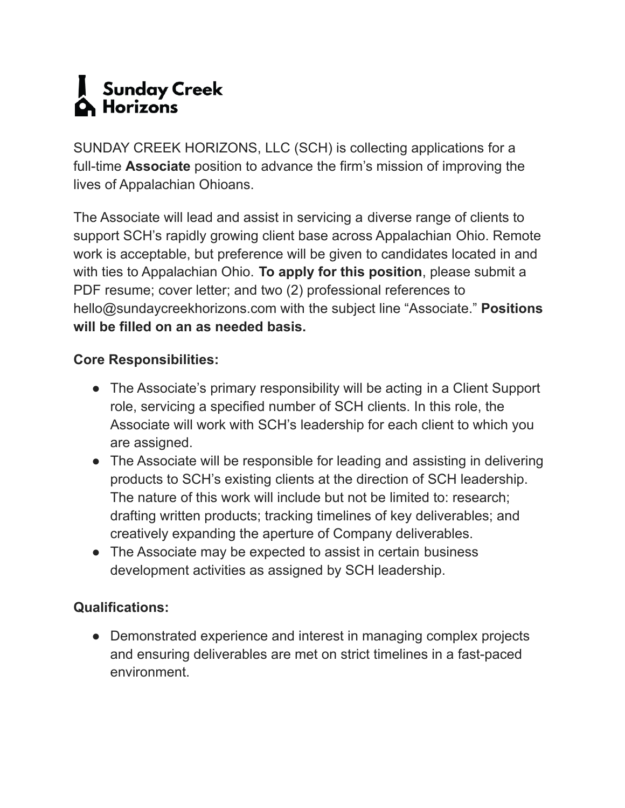## Sunday Creek  $\blacksquare$  Horizons

SUNDAY CREEK HORIZONS, LLC (SCH) is collecting applications for a full-time **Associate** position to advance the firm's mission of improving the lives of Appalachian Ohioans.

The Associate will lead and assist in servicing a diverse range of clients to support SCH's rapidly growing client base across Appalachian Ohio. Remote work is acceptable, but preference will be given to candidates located in and with ties to Appalachian Ohio. **To apply for this position**, please submit a PDF resume; cover letter; and two (2) professional references to hello@sundaycreekhorizons.com with the subject line "Associate." **Positions will be filled on an as needed basis.**

## **Core Responsibilities:**

- The Associate's primary responsibility will be acting in a Client Support role, servicing a specified number of SCH clients. In this role, the Associate will work with SCH's leadership for each client to which you are assigned.
- The Associate will be responsible for leading and assisting in delivering products to SCH's existing clients at the direction of SCH leadership. The nature of this work will include but not be limited to: research; drafting written products; tracking timelines of key deliverables; and creatively expanding the aperture of Company deliverables.
- The Associate may be expected to assist in certain business development activities as assigned by SCH leadership.

## **Qualifications:**

• Demonstrated experience and interest in managing complex projects and ensuring deliverables are met on strict timelines in a fast-paced environment.